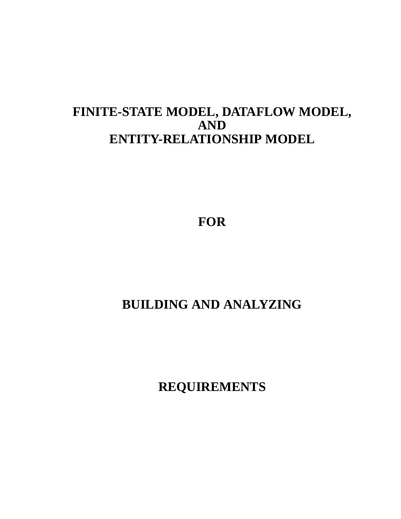### FINITE-STATE MODEL, DATAFLOW MODEL, **AND ENTITY-RELATIONSHIP MODEL**

**FOR**

## **BUILDING AND ANALYZING**

**REQUIREMENTS**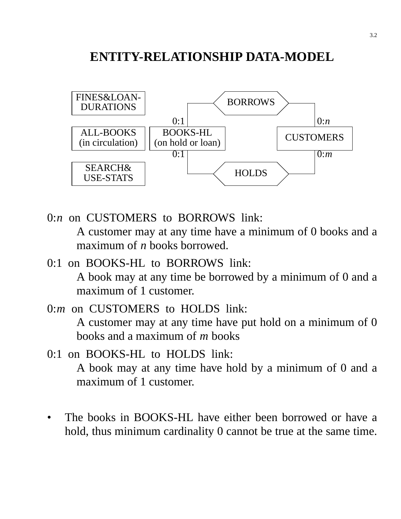### **ENTITY-RELATIONSHIP DATA-MODEL**



- 0:*n* on CUSTOMERS to BORROWS link: A customer may at any time have a minimum of 0 books and a maximum of *n* books borrowed.
- 0:1 on BOOKS-HL to BORROWS link: A book may at any time be borrowed by a minimum of 0 and a maximum of 1 customer.
- 0:*m* on CUSTOMERS to HOLDS link: A customer may at any time have put hold on a minimum of 0 books and a maximum of *m* books
- 0:1 on BOOKS-HL to HOLDS link: A book may at any time have hold by a minimum of 0 and a maximum of 1 customer.
- The books in BOOKS-HL have either been borrowed or have a hold, thus minimum cardinality 0 cannot be true at the same time.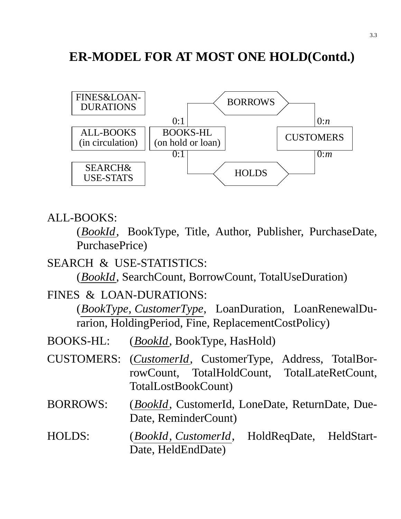### **ER-MODEL FOR AT MOST ONE HOLD(Contd.)**



#### ALL-BOOKS:

(*BookId*, BookType, Title, Author, Publisher, PurchaseDate, PurchasePrice)

#### SEARCH & USE-STATISTICS:

(*BookId*, SearchCount, BorrowCount, TotalUseDuration)

#### FINES & LOAN-DURATIONS:

(*BookType*, *CustomerType*, LoanDuration, LoanRenewalDurarion, HoldingPeriod, Fine, ReplacementCostPolicy)

- BOOKS-HL: (*BookId*, BookType, HasHold)
- CUSTOMERS: (*CustomerId*, CustomerType, Address, TotalBorrowCount, TotalHoldCount, TotalLateRetCount, TotalLostBookCount)
- BORROWS: (*BookId*, CustomerId, LoneDate, ReturnDate, Due-Date, ReminderCount)

#### HOLDS: (*BookId*, *CustomerId*, HoldReqDate, HeldStart-Date, HeldEndDate)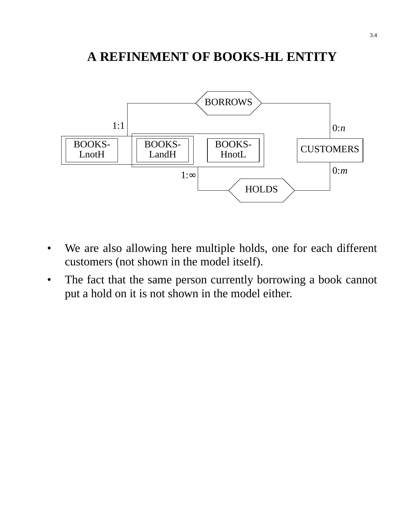### **A REFINEMENT OF BOOKS-HL ENTITY**



- We are also allowing here multiple holds, one for each different customers (not shown in the model itself).
- The fact that the same person currently borrowing a book cannot put a hold on it is not shown in the model either.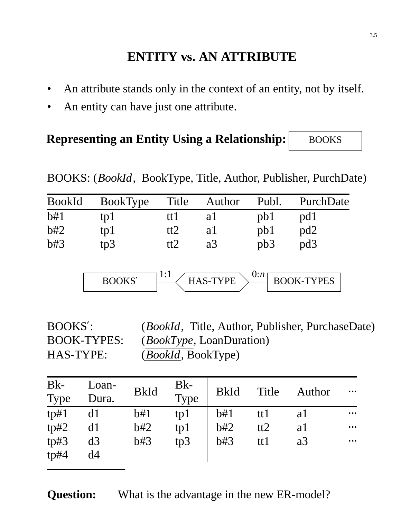# **ENTITY vs. AN ATTRIBUTE**

- An attribute stands only in the context of an entity, not by itself.
- An entity can have just one attribute.

#### **Representing an Entity Using a Relationship:** BOOKS

BOOKS: (*BookId*, BookType, Title, Author, Publisher, PurchDate)

| <b>BookId</b> | BookType | Title  | Author         | Publ. | PurchDate       |
|---------------|----------|--------|----------------|-------|-----------------|
| b#1           | tpl      | ttl    | a l            | pb1   | pd1             |
| b#2           | tp1      | tt2    | a l            | pb1   | pd2             |
| b#3           | tp3      | tt $2$ | a <sub>3</sub> | pb3   | pd <sub>3</sub> |

$$
\begin{array}{|c|c|c|c|}\n \hline\n \text{BOOKS}' & \text{1:1} & \text{HAS-TYPE} & \text{BOOK-TYPES} \\
\hline\n\end{array}
$$

BOOKS′: (*BookId*, Title, Author, Publisher, PurchaseDate) BOOK-TYPES: (*BookType*, LoanDuration) HAS-TYPE: (*BookId*, BookType)

| $Bk-$<br>Type | Loan-<br>Dura. | <b>BkId</b> | $Bk-$<br>Type | <b>BkId</b> | Title | Author | $\cdots$ |
|---------------|----------------|-------------|---------------|-------------|-------|--------|----------|
|               |                |             |               |             |       |        |          |
| tp#1          | d1             | b#1         | tp1           | b#1         | tt1   | a l    | $\cdots$ |
| tp#2          | d1             | b#2         | tp1           | b#2         | tt2   | a1     | $\cdots$ |
| tp#3<br>tp#4  | d3<br>d4       | b#3         | tp3           | b#3         | tt1   | a3     | $\cdots$ |
|               |                |             |               |             |       |        |          |

**Question:** What is the advantage in the new ER-model?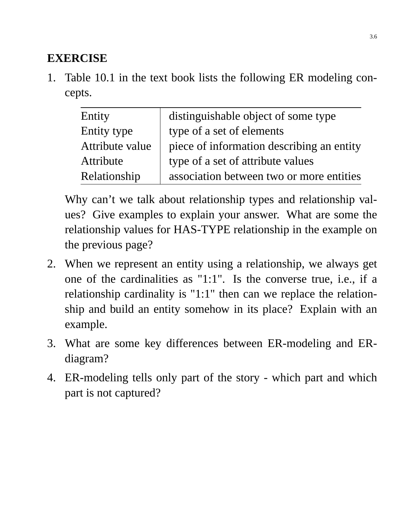### **EXERCISE**

1. Table 10.1 in the text book lists the following ER modeling concepts.

| Entity          | distinguishable object of some type       |
|-----------------|-------------------------------------------|
| Entity type     | type of a set of elements                 |
| Attribute value | piece of information describing an entity |
| Attribute       | type of a set of attribute values         |
| Relationship    | association between two or more entities  |

Why can't we talk about relationship types and relationship values? Give examples to explain your answer. What are some the relationship values for HAS-TYPE relationship in the example on the previous page?

- 2. When we represent an entity using a relationship, we always get one of the cardinalities as "1:1". Is the converse true, i.e., if a relationship cardinality is "1:1" then can we replace the relationship and build an entity somehow in its place? Explain with an example.
- 3. What are some key differences between ER-modeling and ERdiagram?
- 4. ER-modeling tells only part of the story which part and which part is not captured?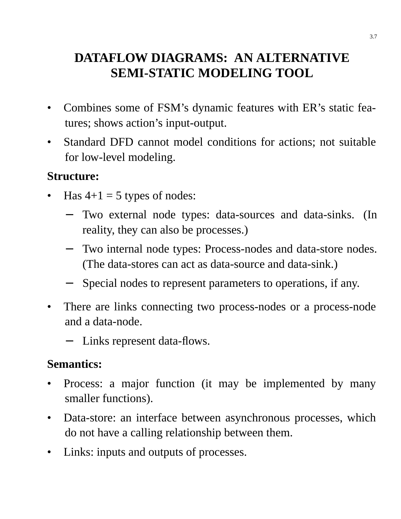# **DATAFLOW DIAGRAMS: AN ALTERNATIVE SEMI-STATIC MODELING TOOL**

- Combines some of FSM's dynamic features with ER's static features; shows action's input-output.
- Standard DFD cannot model conditions for actions; not suitable for low-level modeling.

### **Structure:**

- Has  $4+1 = 5$  types of nodes:
	- Two external node types: data-sources and data-sinks. (In reality, they can also be processes.)
	- − Two internal node types: Process-nodes and data-store nodes. (The data-stores can act as data-source and data-sink.)
	- Special nodes to represent parameters to operations, if any.
- There are links connecting two process-nodes or a process-node and a data-node.
	- − Links represent data-flows.

### **Semantics:**

- Process: a major function (it may be implemented by many smaller functions).
- Data-store: an interface between asynchronous processes, which do not have a calling relationship between them.
- Links: inputs and outputs of processes.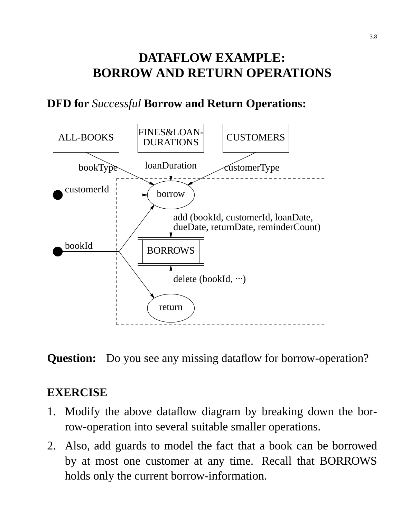# **DATAFLOW EXAMPLE: BORROW AND RETURN OPERATIONS**

### **DFD for** *Successful* **Borrow and Return Operations:**



**Question:** Do you see any missing dataflow for borrow-operation?

#### **EXERCISE**

- 1. Modify the above dataflow diagram by breaking down the borrow-operation into several suitable smaller operations.
- 2. Also, add guards to model the fact that a book can be borrowed by at most one customer at any time. Recall that BORROWS holds only the current borrow-information.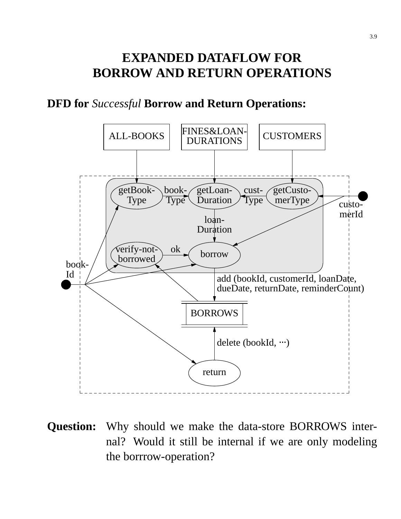### **EXPANDED DATAFLOW FOR BORROW AND RETURN OPERATIONS**

#### **DFD for** *Successful* **Borrow and Return Operations:**



**Question:** Why should we make the data-store BORROWS internal? Would it still be internal if we are only modeling the borrrow-operation?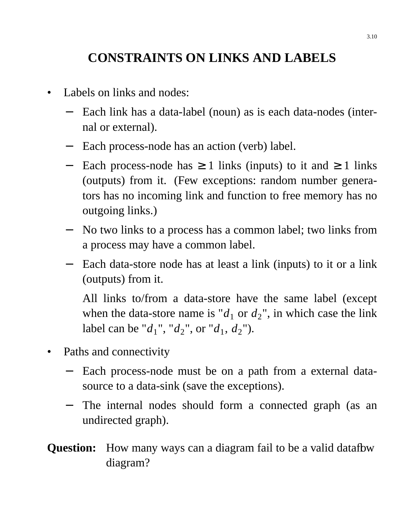# **CONSTRAINTS ON LINKS AND LABELS**

- Labels on links and nodes:
	- − Each link has a data-label (noun) as is each data-nodes (internal or external).
	- − Each process-node has an action (verb) label.
	- − Each process-node has ≥ 1 links (inputs) to it and ≥ 1 links (outputs) from it. (Few exceptions: random number generators has no incoming link and function to free memory has no outgoing links.)
	- − No two links to a process has a common label; two links from a process may have a common label.
	- − Each data-store node has at least a link (inputs) to it or a link (outputs) from it.

All links to/from a data-store have the same label (except when the data-store name is " $d_1$  or  $d_2$ ", in which case the link label can be " $d_1$ ", " $d_2$ ", or " $d_1$ ,  $d_2$ ").

- Paths and connectivity
	- − Each process-node must be on a path from a external datasource to a data-sink (save the exceptions).
	- − The internal nodes should form a connected graph (as an undirected graph).
- **Question:** How many ways can a diagram fail to be a valid datafbw diagram?